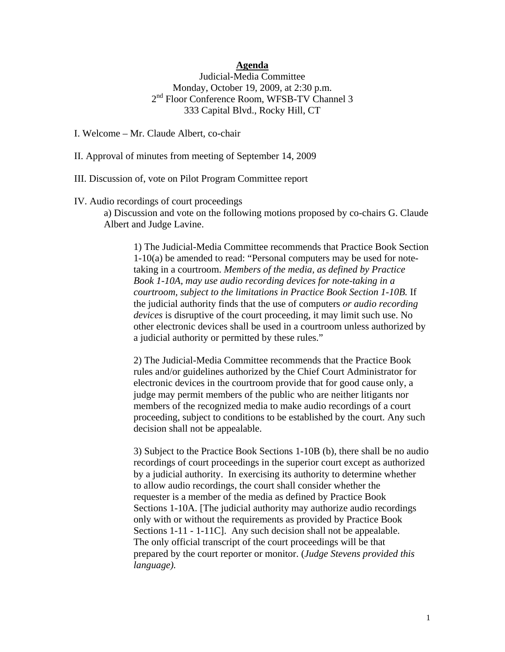## **Agenda**

Judicial-Media Committee Monday, October 19, 2009, at 2:30 p.m. 2<sup>nd</sup> Floor Conference Room, WFSB-TV Channel 3 333 Capital Blvd., Rocky Hill, CT

I. Welcome – Mr. Claude Albert, co-chair

II. Approval of minutes from meeting of September 14, 2009

III. Discussion of, vote on Pilot Program Committee report

IV. Audio recordings of court proceedings

 a) Discussion and vote on the following motions proposed by co-chairs G. Claude Albert and Judge Lavine.

1) The Judicial-Media Committee recommends that Practice Book Section 1-10(a) be amended to read: "Personal computers may be used for note taking in a courtroom. *Members of the media, as defined by Practice Book 1-10A, may use audio recording devices for note-taking in a courtroom, subject to the limitations in Practice Book Section 1-10B.* If the judicial authority finds that the use of computers *or audio recording devices* is disruptive of the court proceeding, it may limit such use. No other electronic devices shall be used in a courtroom unless authorized by a judicial authority or permitted by these rules."

 2) The Judicial-Media Committee recommends that the Practice Book rules and/or guidelines authorized by the Chief Court Administrator for electronic devices in the courtroom provide that for good cause only, a judge may permit members of the public who are neither litigants nor members of the recognized media to make audio recordings of a court proceeding, subject to conditions to be established by the court. Any such decision shall not be appealable.

 3) Subject to the Practice Book Sections 1-10B (b), there shall be no audio recordings of court proceedings in the superior court except as authorized by a judicial authority. In exercising its authority to determine whether to allow audio recordings, the court shall consider whether the requester is a member of the media as defined by Practice Book Sections 1-10A. [The judicial authority may authorize audio recordings only with or without the requirements as provided by Practice Book Sections 1-11 - 1-11C]. Any such decision shall not be appealable. The only official transcript of the court proceedings will be that prepared by the court reporter or monitor. (*Judge Stevens provided this language).*